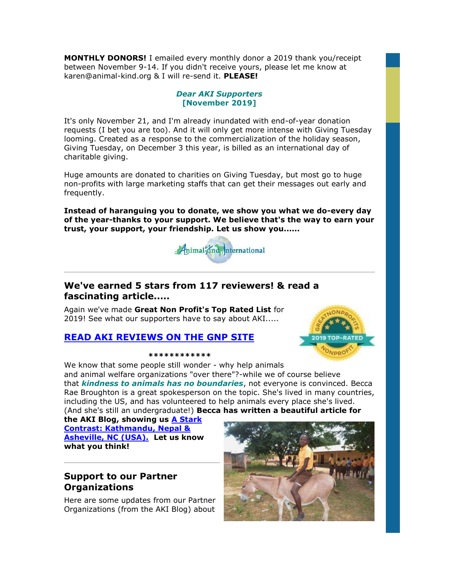**MONTHLY DONORS!** I emailed every monthly donor a 2019 thank you/receipt between November 9-14. If you didn't receive yours, please let me know at karen@animal-kind.org & I will re-send it. **PLEASE!**

### *Dear AKI Supporters* **[November 2019]**

It's only November 21, and I'm already inundated with end-of-year donation requests (I bet you are too). And it will only get more intense with Giving Tuesday looming. Created as a response to the commercialization of the holiday season, Giving Tuesday, on December 3 this year, is billed as an international day of charitable giving.

Huge amounts are donated to charities on Giving Tuesday, but most go to huge non-profits with large marketing staffs that can get their messages out early and frequently.

**Instead of haranguing you to donate, we show you what we do-every day of the year-thanks to your support. We believe that's the way to earn your trust, your support, your friendship. Let us show you......**



# **We've earned 5 stars from 117 reviewers! & read a fascinating article.....**

Again we've made **Great Non Profit's Top Rated List** for 2019! See what our supporters have to say about AKI.....



# **[READ AKI REVIEWS ON THE GNP SITE](http://cts.vresp.com/c/?AnimalKindInternatio/136b7082d3/4d75da415c/415a6144d0)**

#### **\*\*\*\*\*\*\*\*\*\*\*\***

We know that some people still wonder - why help animals and animal welfare organizations "over there"?-while we of course believe that *kindness to animals has no boundaries*, not everyone is convinced. Becca Rae Broughton is a great spokesperson on the topic. She's lived in many countries, including the US, and has volunteered to help animals every place she's lived. (And she's still an undergraduate!) **Becca has written a beautiful article for** 

**the AKI Blog, showing us [A Stark](http://cts.vresp.com/c/?AnimalKindInternatio/136b7082d3/4d75da415c/969d5e6f05)  [Contrast: Kathmandu, Nepal &](http://cts.vresp.com/c/?AnimalKindInternatio/136b7082d3/4d75da415c/969d5e6f05)  [Asheville, NC \(USA\).](http://cts.vresp.com/c/?AnimalKindInternatio/136b7082d3/4d75da415c/969d5e6f05) Let us know what you think!**

# **Support to our Partner Organizations**

Here are some updates from our Partner Organizations (from the AKI Blog) about

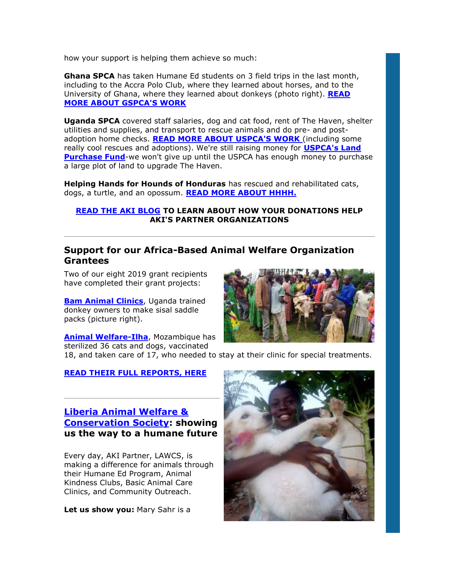how your support is helping them achieve so much:

**Ghana SPCA** has taken Humane Ed students on 3 field trips in the last month, including to the Accra Polo Club, where they learned about horses, and to the University of Ghana, where they learned about donkeys (photo right). **[READ](http://cts.vresp.com/c/?AnimalKindInternatio/136b7082d3/4d75da415c/31a3647c66)  [MORE ABOUT GSPCA'S WORK](http://cts.vresp.com/c/?AnimalKindInternatio/136b7082d3/4d75da415c/31a3647c66)**

**Uganda SPCA** covered staff salaries, dog and cat food, rent of The Haven, shelter utilities and supplies, and transport to rescue animals and do pre- and postadoption home checks. **[READ MORE ABOUT USPCA'S WORK](http://cts.vresp.com/c/?AnimalKindInternatio/136b7082d3/4d75da415c/44fa4371d8)** (including some really cool rescues and adoptions). We're still raising money for **[USPCA's Land](http://cts.vresp.com/c/?AnimalKindInternatio/136b7082d3/4d75da415c/d234c1c981)  [Purchase Fund](http://cts.vresp.com/c/?AnimalKindInternatio/136b7082d3/4d75da415c/d234c1c981)**-we won't give up until the USPCA has enough money to purchase a large plot of land to upgrade The Haven.

**Helping Hands for Hounds of Honduras** has rescued and rehabilitated cats, dogs, a turtle, and an opossum. **[READ MORE ABOUT HHHH.](http://cts.vresp.com/c/?AnimalKindInternatio/136b7082d3/4d75da415c/68c623da43)**

#### **[READ THE AKI BLOG](http://cts.vresp.com/c/?AnimalKindInternatio/136b7082d3/4d75da415c/50f76dfa01) TO LEARN ABOUT HOW YOUR DONATIONS HELP AKI'S PARTNER ORGANIZATIONS**

## **Support for our Africa-Based Animal Welfare Organization Grantees**

Two of our eight 2019 grant recipients have completed their grant projects:

**[Bam Animal Clinics](http://cts.vresp.com/c/?AnimalKindInternatio/136b7082d3/4d75da415c/852c75ac20)**, Uganda trained donkey owners to make sisal saddle packs (picture right).

**[Animal Welfare-Ilha](http://cts.vresp.com/c/?AnimalKindInternatio/136b7082d3/4d75da415c/5bbef73242)**, Mozambique has sterilized 36 cats and dogs, vaccinated



18, and taken care of 17, who needed to stay at their clinic for special treatments.

### **[READ THEIR FULL REPORTS, HERE](http://cts.vresp.com/c/?AnimalKindInternatio/136b7082d3/4d75da415c/ff0e11bd14)**

## **[Liberia Animal Welfare &](http://cts.vresp.com/c/?AnimalKindInternatio/136b7082d3/4d75da415c/2496c8ea69)  [Conservation Society:](http://cts.vresp.com/c/?AnimalKindInternatio/136b7082d3/4d75da415c/2496c8ea69) showing us the way to a humane future**

Every day, AKI Partner, LAWCS, is making a difference for animals through their Humane Ed Program, Animal Kindness Clubs, Basic Animal Care Clinics, and Community Outreach.

**Let us show you:** Mary Sahr is a